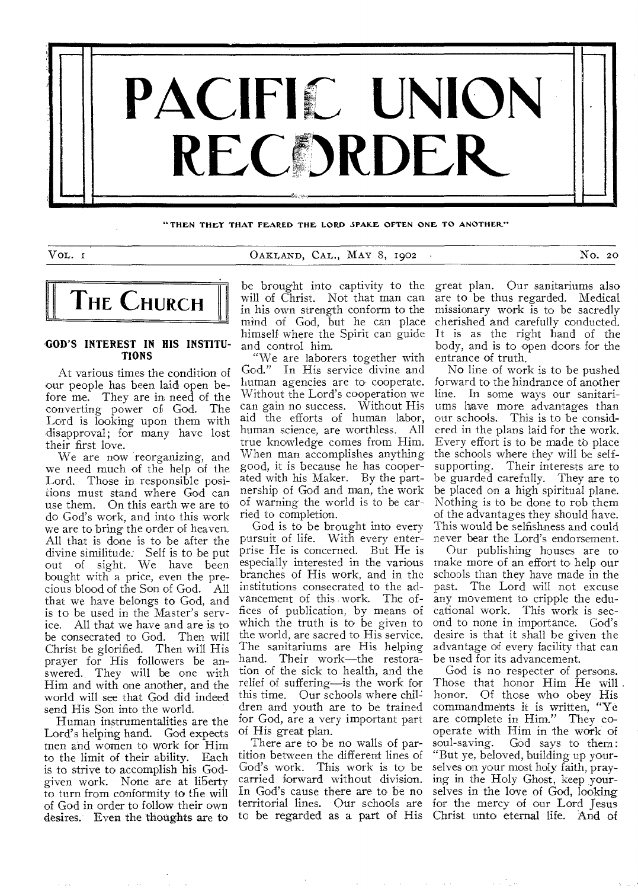

**THEN THEY THAT FEARED THE LORD SPARE OFTEN ONE TO ANOTHER"** 

VOL. 1 CARLAND, CAL., MAY 8, 1902 · No. 20



#### **,GOD'S INTEREST IN HIS INSTITU-TIONS**

At various times the condition of our people has been laid open before me. They are in need of the converting power of God. The Lord is looking upon them with disapproval; for many have lost their first love.

We are now reorganizing, and we need much of the help of the Lord. Those in responsible positions must stand where God can use them. On this earth we are to do God's work, and into this work we are to bring the order of heaven. All that is done is to be after the divine similitude: Self is to be put out of sight. We have been bought with a price, even the precious blood of the Son of God. All that we have belongs to God, and is to be used in the Master's service. All that we have and are is to be consecrated to God. Then will Christ be glorified. Then will His prayer for His followers be answered. They will be one with Him and with one another, and the world will see that God did indeed send His Son into the world.

Human instrumentalities are the Lord's helping hand. God expects men and women to work for Him to the limit of their ability. Each is to strive to accomplish his Godgiven work. None are at liberty to turn from conformity to the will of God in order to follow their own desires. Even the thoughts are to

be brought into captivity to the will of Christ. Not that man can in his own strength conform to the mind of God, but he can place himself where the Spirit can guide and control him.

"We are laborers together with<br>God." In His service divine and In His service divine and human agencies are to cooperate. Without the Lord's cooperation we can gain no success. Without His aid the efforts of human labor, human science, are worthless. All true knowledge comes from Him. When man accomplishes anything good, it is because he has cooperated with his Maker. By the partnership of God and man, the work of warning the world is to be carried to completion.

God is to be brought into every pursuit of life. With every enterprise He is concerned. But He is especially interested in the various branches of His work, and in the institutions consecrated to the advancement of this work. The offices of publication, by means of which the truth is to be given to the world, are sacred to His service. The sanitariums are His helping hand. Their work—the restoration of the sick to health, and the relief of suffering—is the work for this time. Our schools where children and youth are to be trained for God, are a very important part of His great plan.

There are to be no walls of partition between the different lines of God's work. This work is to be carried forward without division. In God's cause there are to be no territorial lines. Our schools are to be regarded as a part of His great plan. Our sanitariums also are to be thus regarded. Medical missionary work is to be sacredly cherished and carefully conducted. It is as the right hand of the body, and is to open doors. for the entrance of truth.

No line of work is to be pushed forward to the hindrance of another line. In some ways our sanitariums have more advantages than our schools. This is to be considered in the plans laid for the work. Every effort is to be made to place the schools where they will be selfsupporting. Their interests are to be guarded carefully. They are to be placed on a high spiritual plane. Nothing is to be done to rob them of the advantages they should have. This would be selfishness and could never bear the Lord's endorsement.

Our publishing houses are to make more of an effort to help our schools than they have made in the past. The Lord will not excuse any movement to cripple the educational work. This work is second to none in importance. God's desire is that it shall be given the advantage of every facility that can be used for its advancement.

God is no respecter of persons. Those that honor Him He will. honor. Of those who obey His commandments it is written, "Ye are complete in Him." They cooperate with Him in the work of soul-saving. God says to them: God says to them: "But ye, beloved, building up yourselves on your most holy faith, praying in the Holy Ghost, keep yourselves in the love of God, looking for the mercy of our Lord Jesus Christ unto eternal life. And of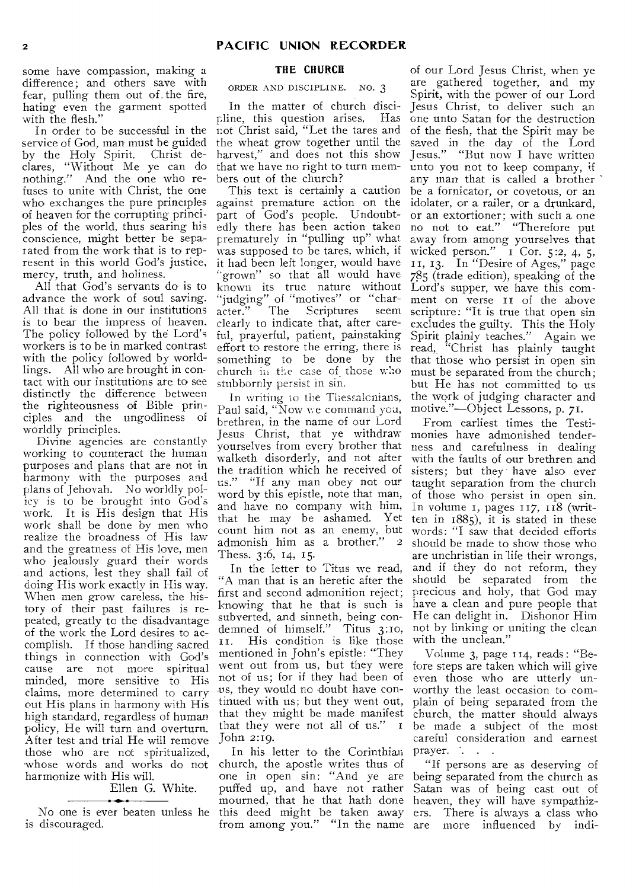some have compassion, making a difference; and others save with fear, pulling them out of. the fire, hating even the garment spotted with the flesh."

In order to be successful in the service of God, man must be guided by the Holy Spirit. Christ declares, "Without Me ye can do nothing." And the one who refuses to unite with Christ, the one who exchanges the pure principles of heaven for the corrupting principles of the world, thus searing his conscience, might better be separated from the work that is to represent in this world God's justice, mercy, truth, and holiness.

All that God's servants do is to advance the work of soul saving. All that is done in our institutions is to bear the impress of heaven. The policy followed by the Lord's workers is to be in marked contrast with the policy followed by worldlings. All who are brought in contact with our institutions are to see distinctly the difference between the righteousness of Bible principles and the ungodliness of worldly principles.

Divine agencies are constantly working to counteract the human purposes and plans that are not in harmony with the purposes and plans of Jehovah. No worldly policy is to he brought into God's work. It is His design that His work shall be done by men who realize the broadness of His law and the greatness of His love, men who jealously guard their words and actions, lest they shall fail of doing His work exactly in His way. When men grow careless, the history of their past failures is repeated, greatly to the disadvantage of the work the Lord desires to accomplish. If those handling sacred things in connection with God's cause are not more spiritual minded, more sensitive to His claims, more determined to carry out His plans in harmony with His high standard, regardless of human policy, He will turn and overturn, After test and trial He will remove those who are not spiritualized, whose words and works do not harmonize with His will.

## Ellen G. White.

No one is ever beaten unless he is discouraged.

## **THE CHURCH**

ORDER AND DISCIPLINE. NO. 3

In the matter of church discipline, this question arises, Has not Christ said, "Let the tares and the wheat grow together until the harvest," and does not this show that we have no right to turn members out of the church?

This text is certainly a caution against premature action on the part of God's people. Undoubtedly there has been action taken prematurely in "pulling up" what was supposed to be tares, which, if it had been left longer, would have grown" so that all would have known its true nature without "judging" of "motives" or "character." The Scriptures seem clearly to indicate that, after careful, prayerful, patient, painstaking effort to restore the erring, there is something to be done by the church in the case of those who stubbornly persist in sin.

In writing to the Thessalonians, Paul said, "Now we command you, brethren, in the name of our Lord Jesus Christ, that ye withdraw yourselves from every brother that walketh disorderly, and not after the tradition which he received of us." "If any man obey not our word by this epistle, note that man, and have no company with him, that he may be ashamed. Yet count him not as an enemy, but<br>admonish him as a brother" 2 admonish him as a brother." Thess. 3:6, 14, 15.

In the letter to Titus we read, "A man that is an heretic after the first and second admonition reject; knowing that he that is such is subverted, and sinneth, being condemned of himself." Titus 3:1o, 1. His condition is like those mentioned in John's epistle: "They went out from us, but they were not of us; for if they had been of .us, they would no doubt have continued with us; but they went out, that they might be made manifest that they were not all of us." John 2:19.

In his letter to the Corinthian church, the apostle writes thus of one in open sin: "And ye are puffed up, and have not rather mourned, that he that hath done this deed might be taken away from among you." "In the name

of our Lord Jesus Christ, when ye are gathered together, and my Spirit, with the power of our Lord Jesus Christ, to deliver such an one unto Satan for the destruction of the flesh, that the Spirit may be saved in the day of the Lord Jesus." "But now I have written unto you not to keep company, if any man that is called a brother be a fornicator, or covetous, or an idolater, or a railer, or a drunkard, or an extortioner; with such a one no not to eat." "Therefore put away from among yourselves that wicked person." i Cor. 5:2, 4, 5, II, 13. In "Desire of Ages," page 785 (trade edition), speaking of the Lord's supper, we have this comment on verse it of the above scripture: "It is true that open sin excludes the guilty. This the Holy Spirit plainly teaches." Again we read, "Christ has plainly taught that those who persist in open sin must be separated from the church; but He has not committed to us the work of judging character and motive."—Object Lessons, p. 71.

From earliest times the Testimonies have admonished tenderness and carefulness in dealing with the faults of our brethren and sisters; but they have also ever taught separation from the church of those who persist in open sin. In volume I, pages 117, 118 (written in 1885), it is stated in these words: "I saw that decided efforts should be made to show those who are unchristian in life their wrongs, and if they do not reform, they should be separated from the precious and holy, that God may have a clean and pure people that He can delight in. Dishonor Him not by linking or uniting the clean with the unclean."

Volume 3, page 114, reads : "Before steps are taken which will give even those who are utterly unworthy the least occasion to complain of being separated from the church, the matter should always be made a subject of the most careful consideration and earnest prayer. . .

"If persons are as deserving of being separated from the church as Satan was of being cast out of heaven, they will have sympathizers. There is always a class who are more influenced by indi-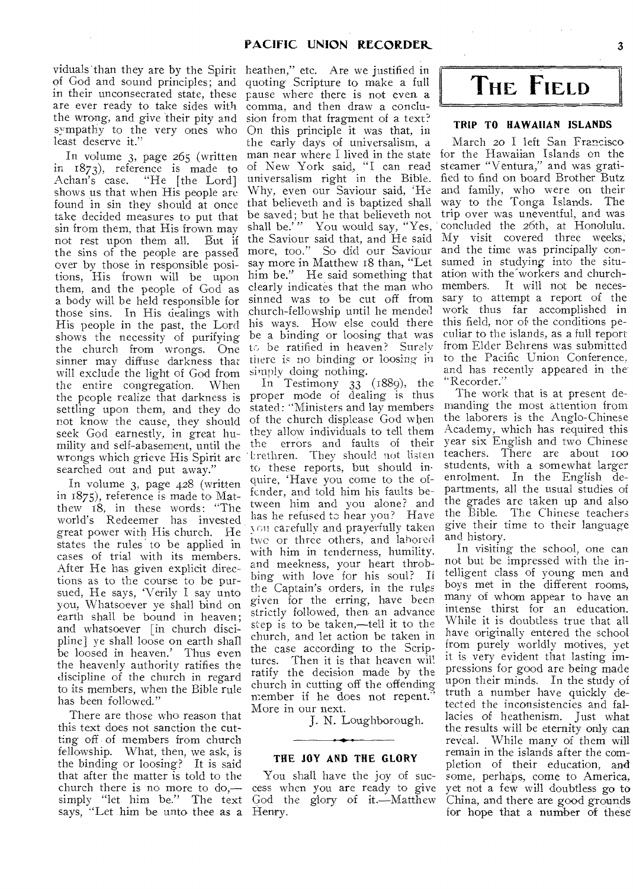viduals than they are by the Spirit of God and sound principles; and in their unconsecrated state, these are ever ready to take sides with the wrong, and give their pity and sympathy to the very ones who least deserve it."

 $\bar{\bar{z}}$ 

In volume 3, page 265 (written in 1873), reference is made to Achan's case. "He [the Lord] shows us that when His people arc found in sin they should at once take decided measures to put that sin from them, that His frown may not rest upon them all. But if the sins of the people are passed over by those in responsible positions, His frown will be upon them, and the people of God as a body will be held responsible for those sins. In His dealings with His people in the past, the Lord shows the necessity of purifying the church from wrongs. One sinner may diffuse darkness that will exclude the light of God from the entire congregation. When the people realize that darkness is settling upon them, and they do not know the cause, they should seek God earnestly, in great humility and self-abasement, until the wrongs which grieve His Spirit are searched out and put away.'

In volume 3, page 428 (written in 1875), reference is made to Matthew 18, in these words: "The world's Redeemer has invested great power with His church. He states the rules to be applied in cases of trial with its members. After He has given explicit directions as to the course to be pursued, He says, 'Verily I say unto you, Whatsoever ye shall bind on earth shall be bound in heaven; and whatsoever [in church discipline] ye shall loose on earth shall be loosed in heaven.' Thus even the heavenly authority ratifies the discipline of the church in regard to its members, when the Bible rule has been followed."

There are those who reason that this text does not sanction the cutting off of members from church fellowship. What, then, we ask, is the binding or loosing? It is said that after the matter is told to the church there is no more to do, simply "let him be." The text says, "Let him be unto thee as a Henry.

heathen," etc. Are we justified in quoting Scripture to make a full pause where there is not even a comma, and then draw a conclusion from that fragment of a text? On this principle it was that, in the early days of universalism, a man near where I lived in the state of New York said, "I can read universalism right in the Bible. Why, even our Saviour said, 'He that believeth and is baptized shall be saved; but he that believeth not shall be." You would say, "Yes, the Saviour said that, and He said more, too." So did our Saviour say more in Matthew 18 than, "Let him be." He said something that ation with the workers and churchclearly indicates that the man who members. It will not be necessinned was to be cut off from church-fellowship until he mended his ways. How else could there be a binding or loosing that was tc, be ratified in heaven? Surely there is no binding or loosing in simply doing nothing.

 $\overline{1n}$  Testimony 33 (1889), the proper mode of dealing is thus stated: "Ministers and lay members of the church displease God when they allow individuals to tell them the errors and faults of their Lrethren. They should not listen to these reports, but should inquire, 'Have you come to the offender, and told him his faults between him and you alone? and has he refused to hear you? Have N. oil carefully and prayerfully taken two or three others, and labored with him in tenderness, humility, and meekness, your heart throbbing with love for his soul? If the Captain's orders, in the rules given for the erring, have been strictly followed, then an advance step is to be taken,—tell it to the church, and let action be taken in the case according to the Scriptures. Then it is that heaven will ratify the decision made by the church in cutting off the offending member if he does not repent." More in our next.

J. N. Loughborough.

## THE JOY AND THE GLORY

You shall have the joy of success when you are ready to give God the glory of it.—Matthew

**THE FIELD** 

#### TRIP TO HAWAIIAN ISLANDS

March 20 I left San Francisco for the Hawaiian Islands on the steamer "Ventura," and was gratified to find on board Brother Butz and family, who were on their way to the Tonga Islands. The trip over was uneventful, and was concluded the 26th, at Honolulu. My visit covered three weeks; and the time was principally consumed in studying into the situsary to attempt a report of the work thus far accomplished in this field, nor of the conditions peculiar to the islands, as a full report from Elder Behrens was submitted to the Pacific Union Conference, and has recently appeared in the "Recorder."

The work that is at present demanding the most attention from the laborers is the Anglo-Chinese Academy, which has required this year six English and two Chinese teachers. There are about too students, with a somewhat larger enrolment. In the English departments, all the usual studies of the grades are taken up and also the Bible. The Chinese teachers give their time to their language and history.

In visiting the school, one can not but be impressed with the intelligent class of young men and boys met in the different rooms, many of whom appear to have an intense thirst for an education. While it is doubtless true that all have originally entered the school from purely worldly motives, yet it is very evident that lasting impressions for good are being made upon their minds. In the study of truth a number have quickly detected the inconsistencies and fallacies of heathenism. Just what the results will be eternity only can reveal. While many of them will remain in the islands after the completion of their education, and some, perhaps, come to America, yet not a few will doubtless go to China, and there are good grounds for hope that a number of these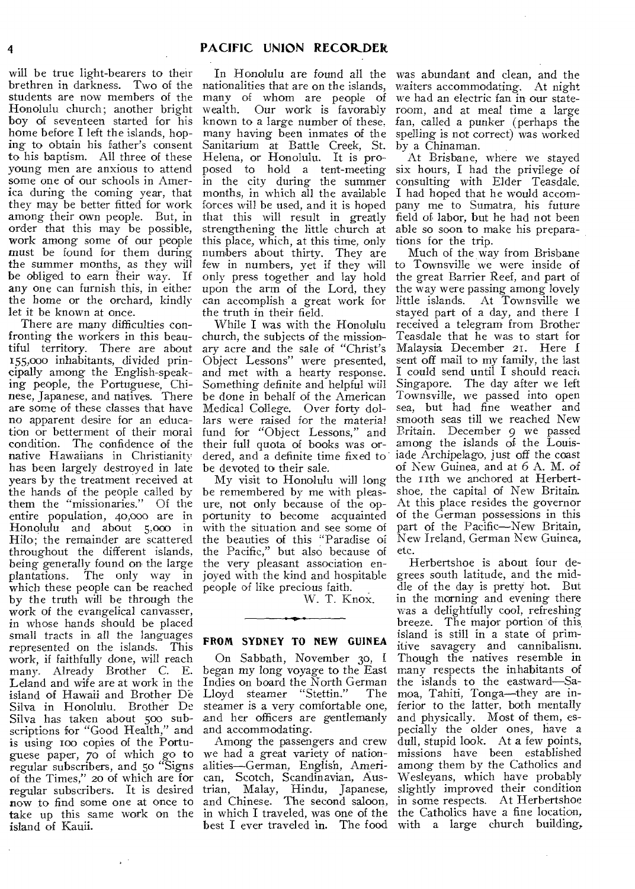will be true light-bearers to their brethren in darkness. Two of the students are now members of the Honolulu church; another bright boy of seventeen started for his home before I left the islands, hoping to obtain his father's consent to his baptism. All three of these young men are anxious to attend some one of our schools in America during the coming year, that they may be better fitted for work among their own people. But, in order that this may be possible, work among some of our people must be found for them during the summer months, as they will be obliged to earn their way. If any one can furnish this, in either the home or the orchard, kindly let it be known at once.

There are many difficulties confronting the workers in this beautiful territory. There are about 155,000 inhabitants, divided principally among the English-speaking people, the Portuguese, Chinese, Japanese, and natives. There are some of these classes that have no apparent desire for an education or betterment of their moral condition. The confidence of the native Hawaiians in Christianity has been largely destroyed in late years by the treatment received at the hands of the people called by them the "missionaries." Of the entire population, 40,000 are in Honolulu and about 5,000 in Hilo; the remainder are scattered throughout the different islands, being generally found on the large plantations. The only way in which these people can be reached by the truth will be through the work of the evangelical canvasser, in whose hands should be placed small tracts in all the languages represented on the islands. This work, if faithfully done, will reach many. Already Brother C. E. Leland and wife are at work in the island of Hawaii and Brother De Silva in Honolulu. Brother De Silva has taken about 500 subscriptions for "Good Health," and is using ioo copies of the Portuguese paper, 70 of which go to regular subscribers, and 5o "Signs of the Times," 20 of which are for regular subscribers. It is desired now to find some one at once to island of Kauii.

In Honolulu are found all the nationalities that are on the islands, many of whom are people of wealth. Our work is favorably known to a large number of these. many having been inmates of the Sanitarium at Battle Creek, St. Helena, or Honolulu. It is proposed to hold a tent-meeting in the city during the summer months, in which all the available forces will be used, and it is hoped that this will result in greatly strengthening the little church at this place, which, at this time, only numbers about thirty. They are few in numbers, yet if they will only press together and lay hold upon the arm of the Lord, they can accomplish a great work for the truth in their field.

While I was with the Honolulu church, the subjects of the missionary acre and the sale of "Christ's Object Lessons" were presented, and met with a hearty response. Something definite and helpful will be done in behalf of the American Medical College. Over forty dollars were raised for the material fund for "Object Lessons," and their full quota of books was ordered, and a definite time fixed to be devoted to their sale.

My visit to Honolulu will long be remembered by me with pleasure, not only because of the opportunity to become acquainted with the situation and see some of the beauties of this "Paradise of the Pacific," but also because of the very pleasant association enjoyed with the kind and hospitable people of like precious faith. \_

W. T. Knox.

#### **FROM SYDNEY TO NEW GUINEA**

On Sabbath, November 30, f began my long voyage to the East Indies on board the North German<br>Lloyd steamer "Stettin." The Lloyd steamer "Stettin." steamer is a very comfortable one, and her officers are gentlemanly and accommodating.

take up this same work on the in which I traveled, was one of the Among the passengers and crew we had a great variety of nationalities—German, English, American, Scotch, Scandinavian, Austrian, Malay, Hindu, Japanese, and Chinese. The second saloon, best I ever traveled in. The food with a large church building,

was abundant and clean, and the waiters accommodating. At night we had an electric fan in our stateroom, and at meal time a large fan, called a punker (perhaps the spelling is not correct) was worked by a Chinaman.

At Brisbane, where we stayed six hours, I had the privilege of consulting with Elder Teasdale. I had hoped that he would accompany me to Sumatra, his future field of labor, but he had not been able so soon to make his preparations for the trip.

Much of the way from Brisbane to Townsville we were inside of the great Barrier Reef, and part of the way were passing among lovely little islands. At Townsville we stayed part of a day, and there I received a telegram from Brother Teasdale that he was to start for Malaysia December 2I. Here sent off mail to my family, the last I could send until I should reach Singapore. The day after we left Townsville, we passed into open sea, but had fine weather and smooth seas till we reached New Britain. December 9 we passed among the islands of the Louisiade Archipelago, just off the coast of New Guinea, and at 6 A. M. *of*  the 11th we anchored at Herbertshoe, the capital of New Britain, At this place resides the governor of the German possessions in this part of the Pacific—New Britain, New Ireland, German New Guinea, etc.

Herbertshoe is about four degrees south latitude, and the middle of the day is pretty hot. But in the morning and evening there was a delightfully cool, refreshing breeze. The major portion of this island is still in a state of primitive savagery and cannibalism. Though the natives resemble in many respects the inhabitants of the islands to the eastward—Samoa, Tahiti, Tonga—they are inferior to the latter, both mentally and physically. Most of them, especially the older ones, have a dull, stupid look. At a few points, missions have been established among them by the Catholics and Wesleyans, which have probably slightly improved their condition in some respects. At Herbertshoe the Catholics have a fine location,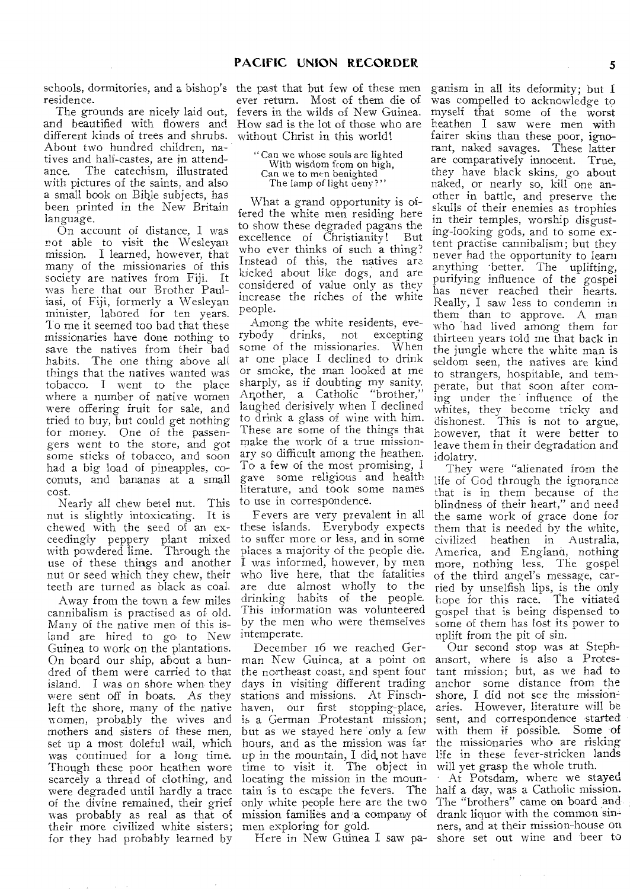residence.

The grounds are nicely laid out, and beautified with flowers and different kinds of trees and shrubs. About two hundred children, natives and half-castes, are in attendance. The catechism, illustrated with pictures of the saints, and also a small book on Bible subjects, has been printed in the New Britain language.

On account of distance, I was not able to visit the Wesleyan mission. I learned, however, that many of the missionaries of this society are natives from Fiji. It was here that our Brother Pauliasi, of Fiji, formerly a Wesleyan minister, labored for ten years. To me it seemed too bad that these missionaries have done nothing to save the natives from their bad habits. The one thing above all things that the natives wanted was tobacco. I went to the place where a number of native women were offering fruit for sale, and tried to buy, but could get nothing for money. One of the passengers went to the store, and got some sticks of tobacco, and soon had a big load of pineapples, coconuts, and bananas at a small cost.

Nearly all chew betel nut. This nut is slightly intoxicating. It is chewed with the seed of an exceedingly peppery plant mixed with powdered lime. Through the use of these things and another nut or seed which they chew, their teeth are turned as black as coal,

Away from the town a few miles cannibalism is practised as of old. Many of the native men of this island are hired to go to New intemperate. Guinea to work on the plantations. On board our ship, about a hundred of them were carried to that island. I was on shore when they were sent off in boats. As they left the shore, many of the native women, probably the wives and mothers and sisters of these men, set up a most doleful wail, which was continued for a long time. Though these poor heathen wore scarcely a thread of clothing, and were degraded until hardly a trace of the divine remained, their grief was probably as real as that of their more civilized white sisters; for they had probably learned by

schools, dormitories, and a bishop's the past that but few of these men ever return. Most of them die of fevers in the wilds of New Guinea. How sad is the lot of those who are without Christ in this world!

> "Can we whose souls are lighted With wisdom from on high, Can we to men benighted The lamp of light deny?"

What a grand opportunity is offered the white men residing here to show these degraded pagans the excellence of Christianity! But who ever thinks of such a thing? Instead of this, the natives are kicked about like dogs, and are considered of value only as they increase the riches of the white people.

Among the white residents, evedrinks, not excepting some of the missionaries. When at one place I declined to drink or smoke, the man looked at me sharply, as if doubting my sanity. Another, a Catholic "brother," laughed derisively when I declined to drink a glass of wine with him. These are some of the things that make the work of a true missionary so difficult among the heathen. To a few of the most promising, I gave some religious and health literature, and took some names to use in correspondence.

Fevers are very prevalent in all these islands. Everybody expects to suffer more or less, and in some places a majority of the people die. I was informed, however, by men who live here, that the fatalities are due almost wholly to the drinking habits of the people. This information was volunteered by the men who were themselves

December 16 we reached German New Guinea, at a point on the northeast coast, and spent four days in visiting different trading stations and missions. At Finschhaven, our first stopping-place, is a German Protestant mission; but as we stayed here only a few hours, and as the mission was far up in the mountain, I did, not have time to visit it. The object in locating the mission in the mountain is to escape the fevers. The only white people here are the two mission families and a company of men exploring for gold.

Here in New Guinea I saw pa-

ganism in all its deformity; but I was compelled to acknowledge to myself that some of the worst heathen I saw were men with fairer skins than these poor, ignorant, naked savages. These latter are comparatively innocent. True, they have black skins, go about naked, or nearly so, kill one another in battle, and preserve the skulls of their enemies as trophies in their temples, worship disgusting-looking gods, and to some extent practise cannibalism; but they never had the opportunity to learn anything better. The uplifting, purifying influence of the gospel has never reached their hearts. Really, I saw less to condemn in them than to approve. A man who had lived among them for thirteen years told me that back in the jungle where the white man is seldom seen, the natives are kind to strangers, hospitable, and temperate, but that soon after coming under the influence of the whites, they become tricky and dishonest. This is not to argue,. however, that it were better to leave them in their degradation and idolatry.

They were "alienated from the life of God through the ignorance that is in them because of the blindness of their heart," and need the same work of grace done for them that is needed by the white, civilized heathen in Australia, America, and England, nothing more, nothing less. The gospel of the third angel's message, carried by unselfish lips, is the only hope for this race. The vitiated gospel that is being dispensed to some of them has lost its power to uplift from the pit of sin.

Our second stop was at Stephansort, where is also a Protestant mission; but, as we had to anchor some distance from the shore, I did not see the missionaries. However, literature will be sent, and correspondence started with them if possible. Some of the missionaries who are risking life in these fever-stricken lands will yet grasp the whole truth.

At Potsdam, where we stayed half a day, was a Catholic mission. The "brothers" came on board and drank liquor with the common sinners, and at their mission-house on shore set out wine and beer to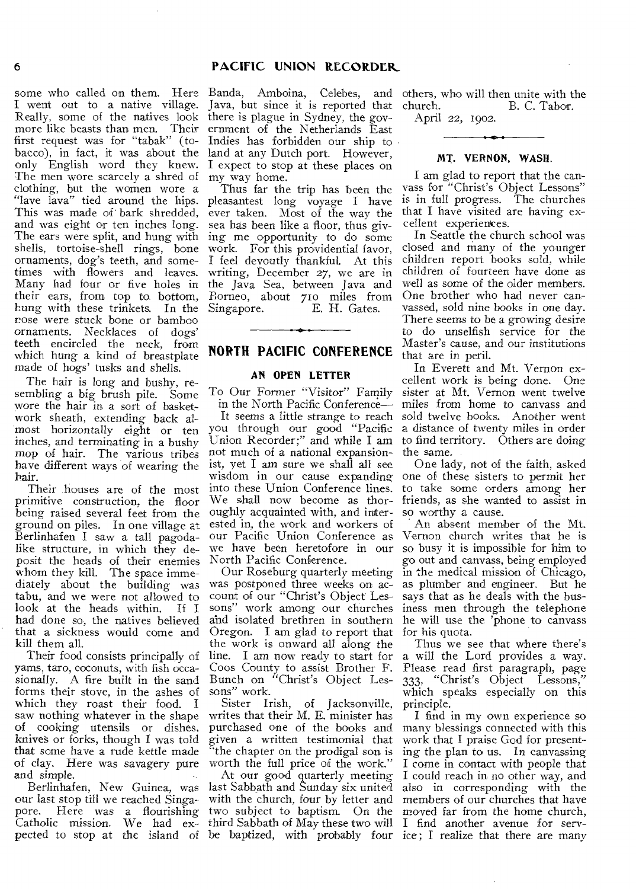## 6 **PACIFIC UNION RECORDER\_**

some who called on them. Here Banda, Amboina, Celebes, and others, who will then unite with the I went out to a native village. Java, but since it is reported that Really, some of the natives look there is plague in Sydney, the govmore like beasts than men. Their ernment of the Netherlands East first request was for "tabak" (to-Indies has forbidden our ship to bacco), in fact, it was about the land at any Dutch port. However, only English word they knew. I expect to stop at these places on The men wore scarcely a shred of my way home. clothing, but the women wore a "lave lava" tied around the hips. This was made of bark shredded, and was eight or ten inches long. The ears were split, and hung with shells, tortoise-shell rings, bone ornaments, dog's teeth, and sometimes with flowers and leaves. Many had four or five holes in their ears, from top to bottom, hung with these trinkets. In the nose were stuck bone or bamboo ornaments. Necklaces of dogs' teeth encircled the neck, from which hung a kind of breastplate made of hogs' tusks and shells.

The hair is long and bushy, resembling a big brush pile. Some wore the hair in a sort of basketwork sheath, extending back almost horizontally eight or ten inches, and terminating in a bushy mop of hair. The various tribes have different ways of wearing the hair.

Their houses are of the most primitive construction, the floor being raised several feet from the ground on piles. In one village at Berlinhafen I saw a tall pagodalike structure, in which they deposit the heads of their enemies whom they kill. The space immediately about the building was tabu, and we were not allowed to look at the heads within. If I had done so, the natives believed that a sickness would come and kill them all.

Their food consists principally of yams, taro, coconuts, with fish occasionally. A fire built in the sand forms their stove, in the ashes of which they roast their food. I saw nothing whatever in the shape of cooking utensils or dishes, knives or forks, though I was told that some have a rude kettle made of clay. Here was savagery pure and simple.

Berlinhafen, New Guinea, was our last stop till we reached Singapore. Here was a flourishing Catholic mission. We had ex-

Thus far the trip has been the pleasantest long voyage I have ever taken. Most of the way the sea has been like a floor, thus giving me opportunity to do some work. For this providential favor, I feel devoutly thankful. At this writing, December 27, we are in the Java Sea, between Java and Borneo, about 710 miles from Singapore. 
E. H. Gates.

## **NORTH PACIFIC CONFERENCE**

## **AN OPEN LETTER**

in the North Pacific Conference—

not much of a national expansion-the same. ist, vet I am sure we shall all see oughly acquainted with, and interested in, the work and workers of our Pacific Union Conference as we have been heretofore in our North Pacific Conference.

Our Roseburg quarterly meeting was postponed three weeks on account of our "Christ's Object Lessons" work among our churches and isolated brethren in southern Oregon. I am glad to report that the work is onward all along the line. I am now ready to start for Coos County to assist Brother F. Bunch on "Christ's Object Lessons" work.

Sister Irish, of Jacksonville, writes that their M. E. minister has purchased one of the books and given a written testimonial that "the chapter on the prodigal son is worth the full price of the work."

At our good quarterly meeting last Sabbath and Sunday six united with the church, four by letter and two subject to baptism. On the third Sabbath of May these two will I find another avenue for serv-

church. B. C. Tabor.

April 22, 1902.

#### **MT. VERNON, WASH.**

I am glad to report that the canvass for "Christ's Object Lessons" is in full progress. The churches that I have visited are having excellent experiences.

In Seattle the church school was closed and many of the younger children report books sold, while children of fourteen have done as well as some of the older members. One brother who had never canvassed, sold nine books in one day. There seems to be a growing desire to do unselfish service for the Master's cause, and our institutions that are in peril.

To Our Former "Visitor" Family sister at Mt. Vernon went twelve It seems a little strange to reach sold twelve books. Another went you through our good "Pacific a distance of twenty miles in order Union Recorder;" and while I am to find territory. Others are doing In Everett and Mt. Vernon excellent work is being done. One miles from home to canvass and

wisdom in our cause expanding one of these sisters to permit her into these Union Conference lines. to take some orders among her We shall now become as thor-friends, as she wanted to assist in One lady, not of the faith, asked so worthy a cause.

An absent member of the Mt. Vernon church writes that he is so busy it is impossible for him to go out and canvass, being employed in the medical mission of Chicago, as plumber and engineer. But he says that as he deals with the business men through the telephone he will use the 'phone to canvass for his quota.

Thus we see that where there's a will the Lord provides a way. Please read first paragraph, page 333, "Christ's Object Lessons," which speaks especially on this principle.

pected to stop at the island of be baptized, with probably four ice; I realize that there are many I find in my own experience so many blessings connected with this work that I praise God for presenting the plan to us. In canvassing I come in contact with people that I could reach in no other way, and also in corresponding with the members of our churches that have moved far from the home church,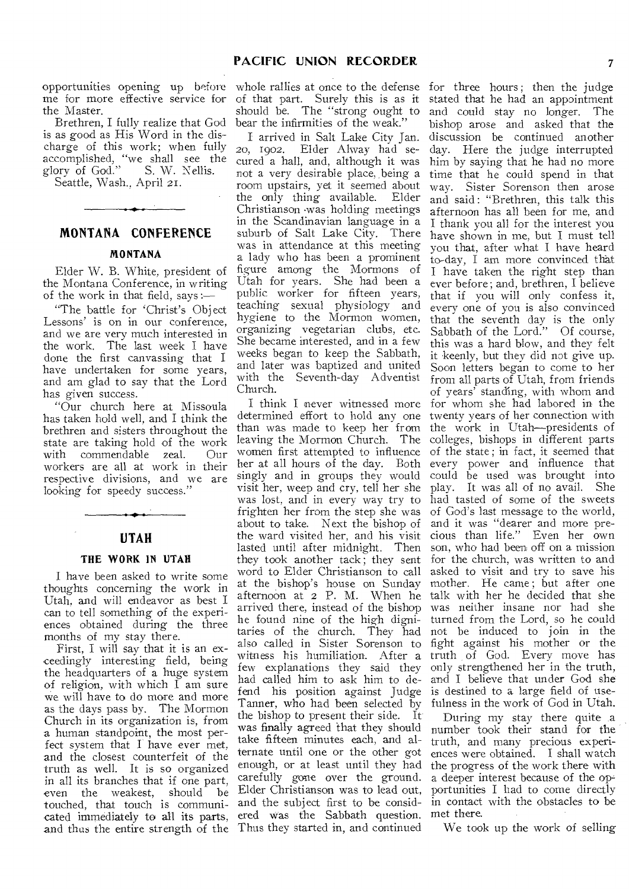opportunities opening up before me for more effective service for the Master.

Brethren, I fully realize that God is as good as His Word in the discharge of this work; when fully accomplished, "we shall see the glory of God." S. W. Nellis. Seattle, Wash., April 21.

## **MONTANA CONFERENCE**

#### **MONTANA**

Elder W. B. White, president of the Montana Conference, in writing of the work in that field, says :—

"The battle for 'Christ's Object Lessons' is on in our conference, and we are very much interested in the work. The last week I have done the first canvassing that I have undertaken for some years, and am glad to say that the Lord has given success.

"Our church here at Missoula has taken hold well, and I think the brethren and sisters throughout the state are taking hold of the work<br>with commendable zeal. Our commendable zeal. workers are all at work in their respective divisions, and we are looking for speedy success."

## **UTAH**

#### **THE WORK IN UTAH**

I have been asked to write some thoughts concerning the work in Utah. and will endeavor as best I can to tell something of the experiences obtained during the three months of my stay there.

First, I will say that it is an exceedingly interesting field, being the headquarters of a huge system of religion, with which I am sure we will have to do more and more as the days pass by. The Mormon Church in its organization is, from a human standpoint, the most perfect system that I have ever met, and the closest counterfeit of the truth as well. It is so organized in all its branches that if one part, even the weakest, should be touched, that touch is communicated immediately to all its parts, and thus the entire strength of the

whole rallies at once to the defense of that part. Surely this is as it should be. The "strong ought to bear the infirmities of the weak."

I arrived in Salt Lake City Jan. 20, 1902. Elder Alway had secured a hall, and, although it was not a very desirable place, being a room upstairs, yet it seemed about the only thing available. Elder Christianson was holding meetings in the Scandinavian language in a suburb of Salt Lake City. There was in attendance at this meeting a lady who has been a prominent figure among the Mormons of Utah for years. She had been a public worker for fifteen years, teaching sexual physiology and hygiene to the Mormon women, organizing vegetarian clubs, etc. She became interested, and in a few weeks began to keep the Sabbath, and later was baptized and united with the Seventh-day Adventist Church.

I think I never witnessed more determined effort to hold any one than was made to keep her from leaving the Mormon Church. The women first attempted to influence her at all hours of the day. Both singly and in groups they would visit her, weep and cry, tell her she was lost, and in every way try to frighten her from the step she was about to take. Next the bishop of lasted until after midnight. Then they took another tack ; they sent word to Elder Christianson to call at the bishop's house on Sunday also called in Sister Sorenson to witness his humiliation. After a few explanations they said they had called him to ask him to defend his position against Judge Tanner, who had been selected by the bishop to present their side. It was finally agreed that they should take fifteen minutes each, and alternate until one or the other got enough, or at least until they had carefully gone over the ground. Elder Christianson was to lead out, and the subject first to be considered was the Sabbath question. Thus they started in, and continued

the ward visited her, and his visit cious than life." Even her own afternoon at 2 P. M. When he talk with her he decided that she arrived there, instead of the bishop was neither insane nor had she he found nine of the high digni-turned from the Lord, so he could taries of the church. They had not be induced to join in the for three hours; then the judge stated that he had an appointment and could stay no longer. The bishop arose and asked that the discussion be continued another day. Here the judge interrupted him by saying that he had no more time that he could spend in that way. Sister Sorenson then arose and said : "Brethren, this talk this afternoon has all been for me, and I thank you all for the interest you have shown in me, but I must tell you that, after what I have heard to-day, I am more convinced that I have taken the right step than ever before; and, brethren, I believe that if you will only confess it, every one of you is also convinced that the seventh day is the only Sabbath of the Lord." Of course, this was a hard blow, and they felt it keenly, but they did not give up. Soon letters began to come to her from all parts of Utah, from friends of years' standing, with whom and for whom she had labored in the twenty years of her connection with the work in Utah—presidents of colleges, bishops in different parts of the state ; in fact, it seemed that every power and influence that could be used was brought into play. It was all of no avail. She had tasted of some of the sweets of God's last message to the world, and it was "dearer and more preson, who had been off on a mission for the church, was written to and asked to visit and try to save his mother. He came; but after one fight against his mother or the truth of God. Every move has only strengthened her in the truth, and I believe that under God she is destined to a large field of usefulness in the work of God in Utah.

> During my stay there quite .a number took their stand for the truth, and many precious experiences were obtained. I shall watch the progress of the work there with a deeper interest because of the opportunities I had to come directly in contact with the obstacles to be met there.

We took up the work of selling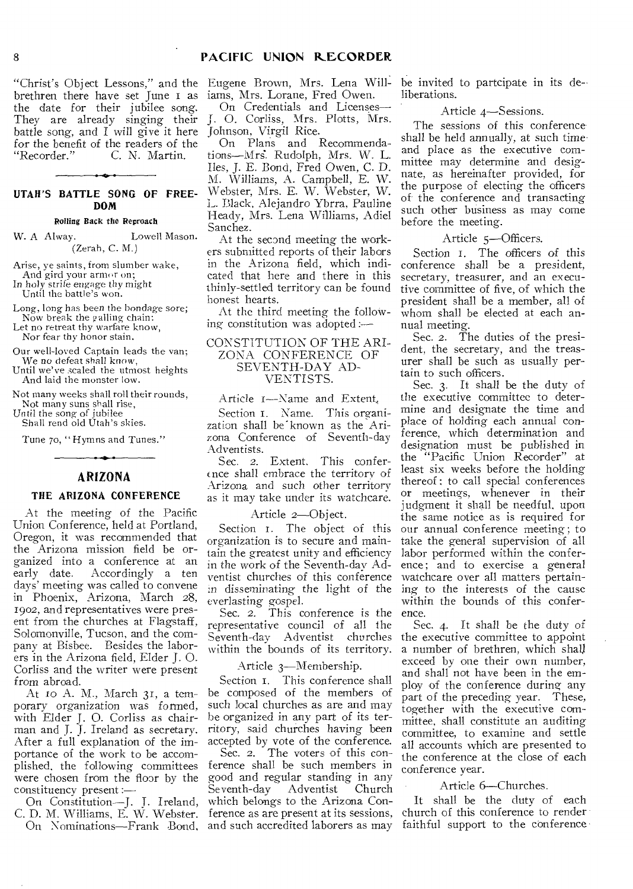brethren there have set June i as the date for their jubilee song. They are already singing their battle song, and I will give it here Johnson, Virgil Rice. for the benefit of the readers of the<br>"Recorder." C. N. Martin. C. N. Martin.

## **UTAH'S BATTLE SONG OF FREE-DOM**

Rolling Back the Reproach

W. A Alway. Lowell Mason. (Zerah, C. M.)

Arise, ye saints, from slumber wake,

And gird your armor on; In holy strife engage thy might Until the battle's won.

Long, long has been the bondage sore; Now break the galling chain:

Let no retreat thy warfare know, Nor fear thy honor stain.

Our well-loved Captain leads the van; We no defeat shall know,

Until we've scaled the utmost heights And laid the monster low.

Not many weeks shall roll their rounds,

Not many suns shall rise, *Until* the song of jubilee

Shall rend old Utah's skies.

Tune 7o, " Hymns and Tunes."

## **ARIZONA**

## **THE ARIZONA CONFERENCE**

At the meeting of the Pacific Union Conference, held at Portland, Oregon, it was recommended that the Arizona mission field be organized into a conference at an<br>early date. Accordingly a ten Accordingly a ten days' meeting was called to convene in Phoenix, Arizona, March 28, 1902, and representatives were present from the churches at Flagstaff, Solomonville, Tucson, and the company at Bisbee. Besides the laborers in the Arizona field, Elder J. 0. Corliss and the writer were present from abroad.

At to A. M., March 31, a temporary organization was formed, with Elder J. 0. Corliss as chairman and J. J. Ireland as secretary. After a full explanation of the importance of the work to be accomplished, the following committees were chosen from the floor by the constituency present :—

On Constitution—J. J. Ireland, C. D. M. Williams, E. W. Webster.

"Christ's Object Lessons," and the Eugene Brown, Mrs. Lena Williams, Mrs. Lorane, Fred Owen.

On Credentials and Licenses-J. 0. Corliss, Mrs. Plotts, Mrs.

On Plans and Recommendations—Mrs. Rudolph, Mrs. W. L. *Iles, J.* E. Bond, Fred Owen, C. D. M. Williams, A. Campbell, E. W. Webster, Mrs. E. W. Webster, W. L. Black, Alejandro Ybrra, Pauline Heady, Mrs. Lena Williams, Adiel Sanchez.

At the second meeting the workers submitted reports of their labors in the Arizona field, which indicated that here and there in this thinly-settled territory can be found honest hearts.

At the third meeting the folloWing constitution was adopted:—

#### CONSTITUTION OF THE ARI-ZONA CONFERENCE OF SEVENTH-DAY AD-VENTISTS.

Article i—Name and Extent,

Section I. Name. This organization shall be"known as the Arizona Conference of Seventh-day Adventists.

Sec. *2.* Extent. This conference shall embrace the territory of Arizona and such other territory as it may take under its watchcare.

#### Article 2—Object.

Section 1. The object of this organization is to secure and maintain the greatest unity and efficiency in the work of the Seventh-day Adventist churches of this conference watchcare over all matters pertaineverlasting gospel.

Sec. *2.* This conference is the representative council of all the Seventh-day Adventist churches the executive committee to appoint within the bounds of its territory.

#### Article 3—Membership.

Section I. This conference shall be composed of the members of such local churches as are and may be organized in any part of its territory, said churches having been accepted by vote of the conference.

On Nominations—Frank Bond, and such accredited laborers as may Sec. 2. The voters of this conference shall be such members in good and regular standing in any Seventh-dav which belongs to the Arizona Conference as are present at its sessions,

be invited to partcipate in its de- liberations.

#### Article 4—Sessions.

The sessions of this conference shall be held annually, at such time and place as the executive committee may determine and designate, as hereinafter provided, for the purpose of electing the officers of the conference and transacting such other business as may come before the meeting.

#### Article 5—Officers.

Section 1. The officers of this conference shall be a president, secretary, treasurer, and an executive committee of five, of which the president shall be a member, all of whom shall be elected at each annual meeting.

Sec. 2. The duties of the president, the secretary, and the treasurer shall be such as usually pertain to such officers.

in disseminating the light of the ing to the interests of the cause Sec. 3. It shall be the duty of the executive committee to determine and designate the time and place of holding each annual conference, which determination and designation must be published in the "Pacific Union Recorder" at least six weeks before the holding thereof ; to call special conferences or meetings, whenever in their judgment it shall be needful, upon the same notice as is required for our annual conference meeting ; to take the general supervision of all labor performed within the conference; and to exercise a general within the bounds of this conference.

> Sec. 4. It shall be the duty of a number of brethren, which shall exceed by one their own number, and shall not have been in the employ of the conference during any part of the preceding year. These, together with the executive committee, shall constitute an auditing committee, to examine and settle all accounts which are presented to the conference at the close of each conference year.

#### Article 6-Churches.

It shall be the duty of each church of this conference to render faithful support to the conference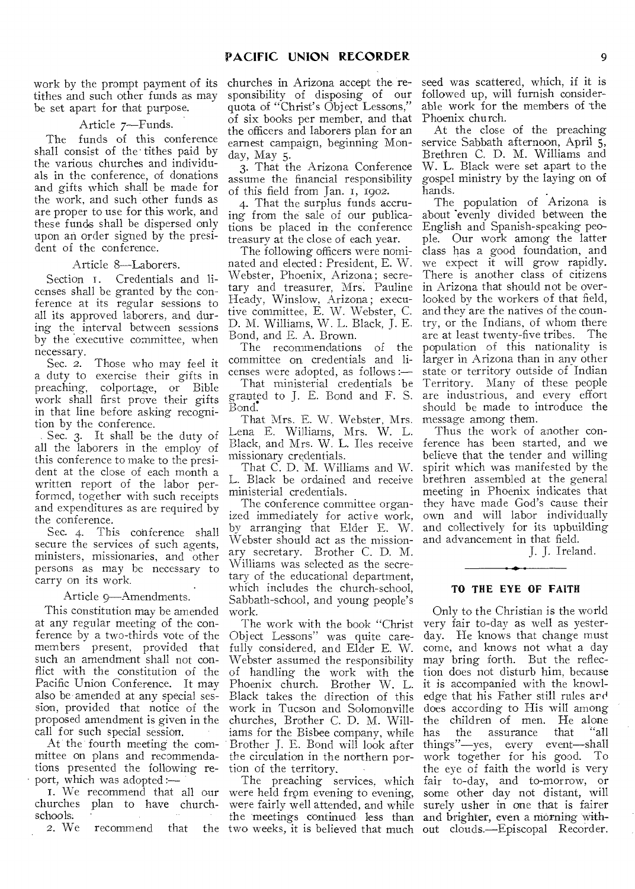work by the prompt payment of its tithes and such other funds as may be set apart for that purpose.

Article 7—Funds.

The funds of this conference shall consist of the tithes paid by the various churches and individuals in the conference, of donations and gifts which shall be made for the work, and such other funds as are proper to use for this work, and these funds shall be dispersed only upon an order signed by the president of the conference.

#### Article 8—Laborers.

Section I. Credentials and licenses shall be granted by the conference at its regular sessions to all its approved laborers, and during the interval between sessions by the executive committee, when necessary.<br>Sec. 2.

Those who may feel it a duty to exercise their gifts in preaching, colportage, or Bible work shall first prove their gifts in that line before asking recognition by the conference.

Sec. 3. It shall be the duty of all the laborers in the employ of this conference to make to the president at the close of each month a written report of the labor performed, together with such receipts and expenditures as are required by the conference.

Sec. 4. This conference shall secure the services of such agents, ministers, missionaries, and other persons as may be necessary to carry on its work.

#### • Article 9—Amendments.

This constitution may be amended at any regular meeting of the conference by a two-thirds vote of the members present, provided that such an amendment shall not conflict with the constitution of the Pacific Union Conference. It may also be amended at any special session, provided that notice of the proposed amendment is given in the call for such special session.

At the fourth meeting the committee on plans and recommendations presented the following re port, which was adopted :-

churches plan to have churchschools.<br> $2.$  We

recommend that

churches in Arizona accept the responsibility of disposing of our quota of "Christ's Object Lessons," of six books per member, and that the officers and laborers plan for an earnest campaign, beginning Monday, May 5.

3. That the Arizona Conference assume the financial responsibility of this field from Jan. 1, 1902.

4. That the surplus funds accruing from the sale of our publications be placed in the conference treasury at the close of each year.

The following officers were nominated and elected : President, E. W. Webster, Phoenix, Arizona; secretary and treasurer, Mrs. Pauline Heady, Winslow, Arizona; executive committee, **E.** W. Webster, C. D. M. Williams, W. L. Black, J. E. Bond, and E. A. Brown.

The recommendations of the committee on credentials and licenses were adopted, as follows :—

That ministerial credentials be granted to J. E. Bond and F. S. Bond.

That Mrs. E. W. Webster, Mrs. Lena E. Williams, Mrs. W. L. Black, and Mrs. W. L. Iles receive missionary credentials.

That C. D. M. Williams and W. L. Black be ordained and receive ministerial credentials.

The conference committee organized immediately for active work, by arranging that Elder E. W. Webster should act as the missionary secretary. Brother C. D. M. Williams was selected as the secretary of the educational department, which includes the church-school, Sabbath-school, and young people's work.

The work with the book "Christ Object Lessons" was quite carefully considered, and Elder E. W. Webster assumed the responsibility of handling the work with the Phoenix church. Brother W. L. Black takes the direction of this work in Tucson and Solomonville churches, Brother C. D. M. Williams for the Bisbee company, while Brother J. E. Bond will look after the circulation in the northern portion of the territory.

seed was scattered, which, if it is followed up, will furnish considerable work for the members of the Phoenix church.

At the close of the preaching service Sabbath afternoon, April 5, Brethren C. D. M. Williams and W. L. Black were set apart to the gospel ministry by the laying on of hands.

The population of Arizona is about 'evenly divided between the English and Spanish-speaking people. Our work among the latter class has a good foundation, and we expect it will grow rapidly. There is another class of citizens in Arizona that should not be overlooked by the workers of that field, and they are the natives of the country, or the Indians, of whom there are at least twenty-five tribes. The population of this nationality is larger in Arizona than in anv other state or territory outside of Indian Territory. Many of these people are industrious, and every effort should be made to introduce the message among them.

Thus the work of another conference has been started, and we believe that the tender and willing spirit which was manifested by the brethren assembled at the general meeting in Phoenix indicates that they have made God's cause their own and will labor individually and collectively for its upbuilding and advancement in that field.

J. J. Ireland.

#### **TO THE EYE OF FAITH**

I. We recommend that all our were held from evening to evening, some other day not distant, will The preaching services, which fair to-day, and to-morrow, or were fairly well attended, and while surely usher in one that is fairer the meetings continued less than and brighter, even a morning withtwo weeks, it is believed that much out clouds.—Episcopal Recorder. Only to the Christian is the world very fair to-day as well as yesterday. He knows that change must come, and knows not what a day may bring forth. But the reflection does not disturb him, because it is accompanied with the knowledge that his Father still rules and does according to His will among the children of men. He alone<br>has the assurance that "all the assurance things"—yes, every event—shall work together for his good. To the eye of faith the world is very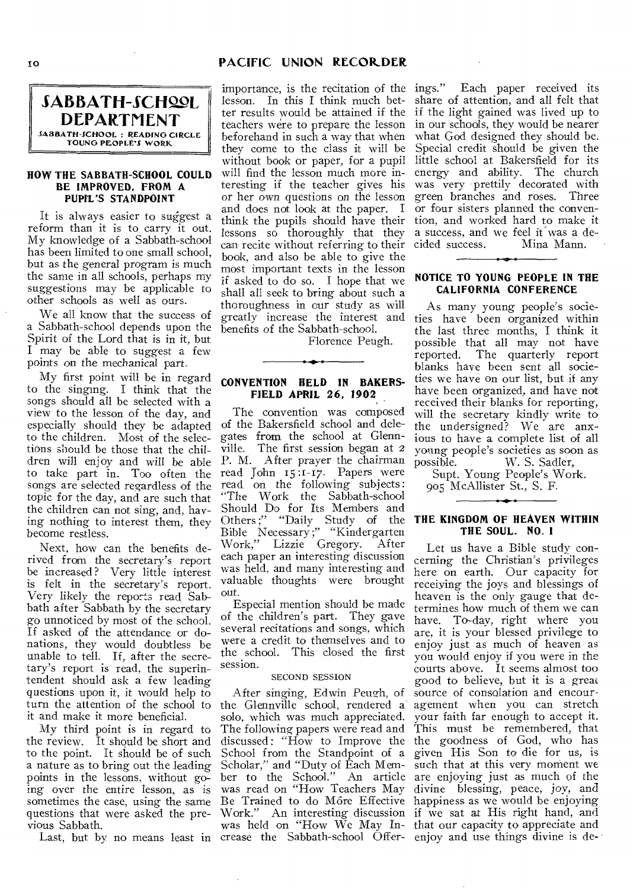## IG **PACIFIC UNION RECORDER**



#### **110W THE SABBATH-SCHOOL COULD BE IMPROVED, FROM A PUPIL'S STANDPOINT**

It is always easier to suggest a reform than it is to carry it out. My knowledge of a Sabbath-school has been limited to one small school, but as the general program is much the same in all schools, perhaps my suggestions may be applicable to other schools as well as ours.

We all know that the success of a Sabbath-school depends upon the Spirit of the Lord that is in it, but I may be able to suggest a few points on the mechanical part.

My first point will be in regard to the singing. I think that the songs should all be selected with a view to the lesson of the day, and especially should they be adapted to the children. Most of the selections should be those that the children will enjoy and will be able to take part in. Too often the songs are selected regardless of the topic for the day, and are such that the children can not sing, and, having nothing to interest them, they become restless.

Next, how can the benefits derived from the secretary's report be increased ? Very little interest is felt in the secretary's report. Very likely the reports read Sabbath after Sabbath by the secretary go unnoticed by most of the school. If asked of the attendance or donations, they would doubtless be unable to tell. If, after the secretary's report is read, the superintendent should ask a few leading questions upon it, it would help to turn the attention of the school to it and make it more beneficial.

My third point is in regard to the review. It should be short and to the point. It should be of such a nature as to bring out the leading points in the lessons, without going over the entire lesson, as is sometimes the case, using the same questions that were asked the previous Sabbath.

importance, is the recitation of the ings." Each paper received its lesson. In this I think much better results would be attained if the teachers were to prepare the lesson beforehand in such a way that when they come to the class it will he without book or paper, for a pupil will find the lesson much more interesting if the teacher gives his or her own questions on the lesson and does not look at the paper. I think the pupils should have their lessons so thoroughly that they can recite without referring to their book, and also be able to give the most important texts in the lesson if asked to do so. I hope that we shall all seek to bring about such a thoroughness in our study as will greatly increase the interest and benefits of the Sabbath-school.

Florence Peugh.

#### **CONVENTION HELD IN BAKERS-FIELD APRIL 26, 1902**

The convention was composed of the Bakersfield school and delegates from the school at Glennville. The first session began at 2 P. M. After prayer the chairman read John 15 :1-17. Papers were read, on the following subjects: "The Work the Sabbath-school Should Do for Its Members and Others ;" "Daily Study of the Bible Necessary ;" "Kindergarten Work," Lizzie Gregory. After each paper an interesting discussion was held, and many interesting and valuable thoughts were brought out.

Especial mention should be made of the children's part. They gave several recitations and songs, which were a credit to themselves and to the school. This closed the first session.

## SECOND SESSION

Last, but by no means least in crease the Sabbath-school Offer- enjoy and use things divine is de-After singing, Edwin Peugh, of the Glennville school, rendered a solo, which was much appreciated. The following papers were read and discussed : "How to Improve the School from the Standpoint of a Scholar," and "Duty of Each Member to the School." An article was read on "How Teachers May Be Trained to do M6re Effective

share of attention, and all felt that if the light gained was lived up to in our schools, they would be nearer what God designed they should be. Special credit should be given the little school at Bakersfield for its energy and ability. The church was very prettily decorated with green branches and *roses.* Three or four sisters planned the convention, and worked hard to make it a success, and we feel it was a de-<br>cided success. Mina Mann. Mina Mann.

#### **NOTICE TO YOUNG PEOPLE IN THE CALIFORNIA CONFERENCE**

As many young people's societies have been organized within the last three months, I think it possible that all may not have reported. The quarterly report blanks have been sent all societies we have on our list, but if any have been organized, and have not received their blanks for reporting, will the secretary kindly write to the undersigned? We are anxious to have a complete list of all young people's societies as soon as possible. W. S. Sadler,

Supt. Young People's Work. 905 McAllister St., S. F.

#### **THE KINGDOM OF HEAVEN WITHIN THE SOUL. NO. I**

Work." An interesting discussion if we sat at His right hand, and was held on "How We May In-that our capacity to appreciate and Let us have a Bible study concerning the Christian's privileges here on earth. Our capacity for receiving the joys and blessings of heaven is the only gauge that determines how much of them we can have. To-day, right where you are, it is your blessed privilege to enjoy just as much of heaven as you would enjoy if you were in the courts above. It seems almost too good to believe, but it is a great source of consolation and encouragement when you can stretch your faith far enough to accept it. This must be remembered, that the goodness of God, who has given His Son to die for us, is such that at this very moment we are enjoying just as much of the divine blessing, peace, joy, and happiness as we would be enjoying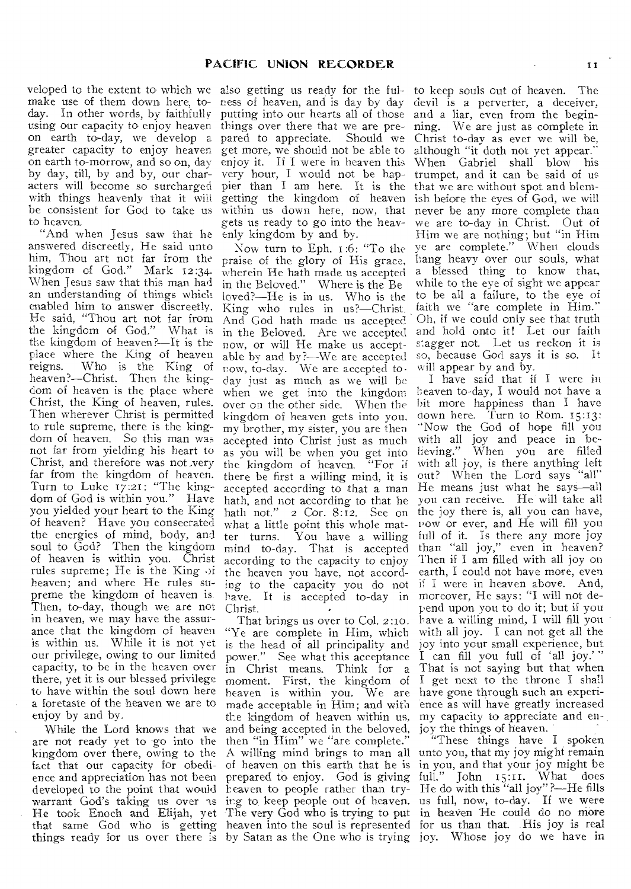veloped to the extent to which we also getting us ready for the fulmake use of them down here, to- ness of heaven, and is day by day day. In other words, by faithfully using our capacity to enjoy heaven things over there that we are preon earth to-day, we develop a pared to appreciate. Should we greater capacity to enjoy heaven on earth to-morrow, and so on, day by day, till, by and by, our characters will become so surcharged with things heavenly that it will be consistent for God to take us within us down here, now, that never be any more complete than to heaven.

"And when Jesus saw that he answered discreetly, He said unto him, Thou art not far from the kingdom of God." Mark 12:34. kingdom of God." When Jesus saw that this man had an understanding of things which enabled him to answer discreetly, He said, "Thou art not far from the kingdom of God." What is the kingdom of heaven?—It is the place where the King of heaven reigns. Who is the King of heaven?—Christ. Then the kingdom of heaven is the place where Christ, the King of heaven, rules. Then wherever Christ is permitted to rule supreme, there is the kingdom of heaven. So this man was not far from yielding his heart to Christ, and therefore was not \_very far from the kingdom of heaven. Turn to Luke 17:21: "The kingdom of God is within you." Have you yielded your heart to the King of heaven? Have you consecrated the energies of mind, body, and soul to God? Then the kingdom of heaven is within you. Christ rules supreme; He is the King of heaven; and where He rules supreme the kingdom of heaven is. Then, to-day, though we are not in heaven, we may have the assurance that the kingdom of heaven is within us. While it is not yet our privilege, owing to our limited capacity, to be in the heaven over there, yet it is our blessed privilege to have within the soul down here a foretaste of the heaven we are to enjoy by and by.

While the Lord knows that we are not ready yet to go into the kingdom over there, owing to the fact that our capacity for obedience and appreciation has not been developed to the point that would warrant God's taking us over as He took Enoch and Elijah, yet things ready for us over there is by Satan as the One who is trying joy. Whose joy do we have in

putting into our hearts all of those get more, we should not be able to enjoy it. If I were in heaven this very hour, I would not be hap-trumpet, and it can be said of us pier than I am here. It is the that we are without spot and blemgetting the kingdom of heaven gets us ready to go into the heavenly kingdom by and by.

Now turn to Eph. 1:6: "To the praise of the glory of His grace, wherein He bath made us accepted in the Beloved." Where is the Be loved?—He is in us. Who is the King who rules in us?—Christ. And. God hath made us accepted in the Beloved. Are we accepted now, or will He make us acceptable by and by?—We are accepted now, to-day. We are accepted today just as much as we will be when we get into the kingdom over on the other side. When the kingdom of heaven gets into you, my brother, my sister, you are then accepted into Christ just as much as you will be when you get into the kingdom of heaven. "For if there be first a willing mind, it is out? When the Lord says "all" accepted according to that a man He means just what he says—all hath, and not according to that he you can receive. He will take all hath not."  $2 \text{Cor. } 8:12$ . See on the joy there is, all you can have, what a little point this whole mat-<br>ter turns. You have a willing You have a willing. mind to-day. That is accepted according to the capacity to enjoy the heaven you have, not according to the capacity you do not have. It is accepted to-day in Christ.

That brings us over to Col. 2:10. "Ye are complete in Him, which is the head of all principality and power." See what this acceptance in Christ means. Think for a moment. First, the kingdom of heaven is within you. We are made acceptable in Him; and with the kingdom of heaven within us, and being accepted in the beloved, then "in Him" we "are complete." of heaven on this earth that he is prepared to enjoy. God is giving heaven to people rather than trying to keep people out of heaven. The very God who is trying to put

to keep souls out of heaven. The devil is a perverter, a deceiver, and a liar, even from the beginning. We are just as complete in Christ to-day as ever we will be, although "it doth not yet appear." When Gabriel shall blow his ish before the eyes of God, we will we are to-day in Christ. Out of Him we are nothing; but "in Him ye are complete." When clouds hang heavy over our souls, what a blessed thing to know that, while to the eye of sight we appear to be all a failure, to the eye of faith we "are complete in Him." Oh, if we could only see that truth and hold onto it! Let our faith s:agger not. Let us reckon it is so, because God says it is so. It will appear by and by.

I have said that if I were in Leaven to-day, I would not have a bit more happiness than I have down here. Turn to Rom. 15:13: "Now the God of hope fill you with all joy and peace in believing." When you are filled with all joy, is there anything left now or ever, and He will fill you full of it. Is there any more joy than "all joy," even in heaven? Then if I am filled with all joy on earth, I could not have more, even if I were in heaven above. And, moreover, He says: "I will not depend upon you to do it; but if you have a willing mind, I will fill you with all joy. I can not get all the joy into your small experience, but I can fill you full of 'all joy.' " That is not saying but that when I get next to the throne I shall have gone through such an experience as will have greatly increased my capacity to appreciate and enjoy the things of heaven.

that same God who is getting heaven into the soul is represented for us than that. His joy is real A willing mind brings to man all unto you, that my joy might remain "These things have I spoken in you, and that your joy might be full."  $John = 15:11$ . What does He do with this "all joy" ?—He fills us full, now, to-day. If we were in heaven Be could do no more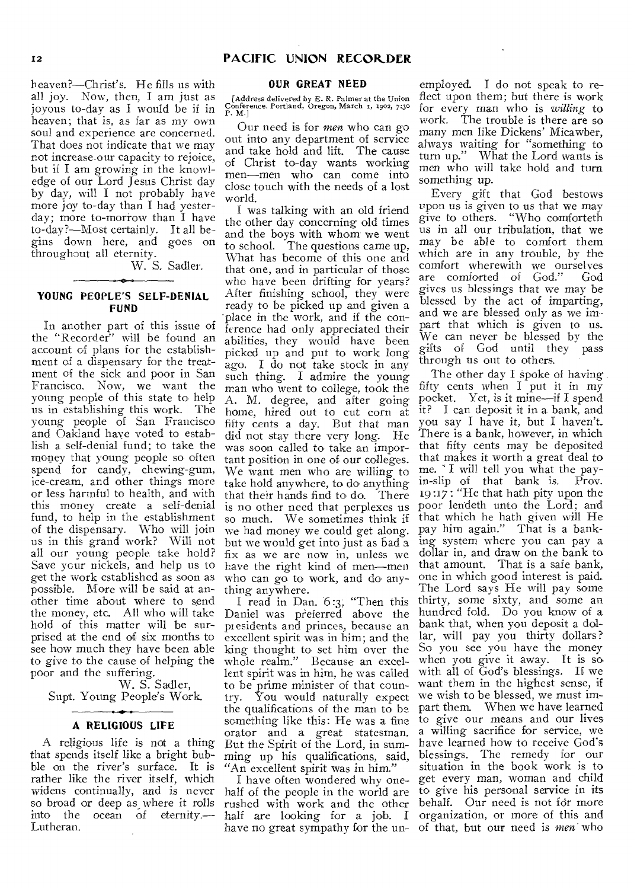heaven?—Christ's. He fills us with all joy. Now, then, I am just as joyous to-day as I would be if in heaven; that is, as far as my own soul and experience are concerned. That does not indicate that we may not increase-our capacity to rejoice, but if I am growing in the knowledge of our Lord Jesus Christ day by day, will I not probably have more joy to-day than I had yesterday; more to-morrow than I have to-day?—Most certainly. It all begins down here, and goes on throughout all eternity.

W. S. Sadler.

#### **YOUNG PEOPLE'S SELF-DENIAL FUND**

In another part of this issue of the "Recorder" will be found an account of plans for the establishment of a dispensary for the treatment of the sick and poor in San Francisco. Now, we want the young people of this state to help us in establishing this work. The young people of San Francisco and Oakland have voted to establish a self-denial fund; to take the money that young people so often spend for candy, chewing-gum, ice-cream, and other things more or less harmful to health, and with this money create a self-denial fund, to help in the establishment of the dispensary. Who will join us in this grand work? Will not all our young people take hold? Save your nickels, and help us to get the work established as soon as possible. More will be said at another time about where to send the money, etc. All who will take hold of this matter will be surprised at the end of six months to see how much they have been able to give to the cause of helping the poor and the suffering.

W. S. Sadler, Supt. Young People's Work.

#### **A RELIGIOUS LIFE**

A religious life is not a thing that spends itself like a bright bubble on the river's surface. It is rather like the river itself, which widens continually, and is never so broad or deep as where it rolls into the ocean of eternity.— Lutheran.

## **OUR GREAT NEED**

[Address delivered by E. R. Palmer at the Union Conference, Portland, Oregon, March r, 1902, 7:3o P. M.]

Our need is for *men* who can go out into any department of service and take hold and lift. The cause of Christ to-day wants working men—men who can come into close touch with the needs of a lost world.

I was talking with an old friend the other day concerning old times and the boys with whom we went to school. The questions came up, What has become of this one and that one, and in particular of those who have been drifting for years? After finishing school, they were ready to be picked up and given a 'place in the work, and if the conference had only appreciated their abilities, they would have been picked up and put to work long ago. **I** do not take stock in any such thing. I admire the young man who went to college, took the A. M. degree, and after going home, hired out to cut corn at fifty cents a day. But that man did not stay there very long. He was soon called to take an important position in one of our colleges. We want men who are willing to take hold anywhere, to do anything that their hands find to do. There is no other need that perplexes us so much. We sometimes think if that which he hath given will He we had money we could get along. pay him again." That is a bankbut we would get into just as bad a fix as we are now in, unless we have the right kind of men—men who can go to work, and do anything anywhere.

I read in Dan. 6:3; "Then this Daniel was preferred above the pi esidents and princes, because an excellent spirit was in him; and the king thought to set him over the whole realm." Because an excellent spirit was in him, he was called to be prime minister of that country. You would naturally expect we wish to be blessed, we must imthe qualifications of the man to be part them. When we have learned something like this: He was a fine to give our means and our lives orator and a great statesman. a willing sacrifice for service, we But the Spirit of the Lord, in summing up his qualifications, said, "An excellent spirit was in him."

I have often wondered why onehave no great sympathy for the un-of that, but our need is *men* who

employed. I do not speak to reflect upon them; but there is work for every man who is *willing* to work. The trouble is there are so many men like Dickens' Micawber, always waiting for "something to turn up." What the Lord wants is men who will take hold and turn something up.

Every gift that God bestows upon us is given to us that we may give to others. "Who comforteth us in all our tribulation, that we may be able to comfort them which are in any trouble, by the comfort wherewith we ourselves are comforted of God." God *gives* us blessings that we may be blessed by the act of imparting, and we are blessed only as we impart that which is given to us. We can never be blessed by the gifts of God until they pass through us out to others.

half of the people in the world are to give his personal service in its rushed with work and the other behalf. Our need is not for more half are looking for a job. I organization, or more of this and The other day **I** spoke of having fifty cents when I put it in my pocket. Yet, is it mine—if I spend it? I can deposit it in a bank, and you say I have it, but I haven't. There is a bank, however, in which that fifty cents may be deposited that makes it worth a great deal to me. " I will tell you what the payin-slip of that bank is. Prov. 19:17 : "He that hath pity upon the poor lendeth unto the Lord; and ing system where you can pay a dollar in, and draw on the bank to that amount. That is a safe bank, one in which good interest is paid. The Lord says He will pay some thirty, some sixty, and some an hundred fold. Do you know of a bank that, when you deposit a dollar, will pay you thirty dollars? So you see you have the money when you give it away. It is so with all of God's blessings. If we want them in the highest sense, if have learned how to receive God's blessings. The remedy for our situation in the book work is to get every man, woman and child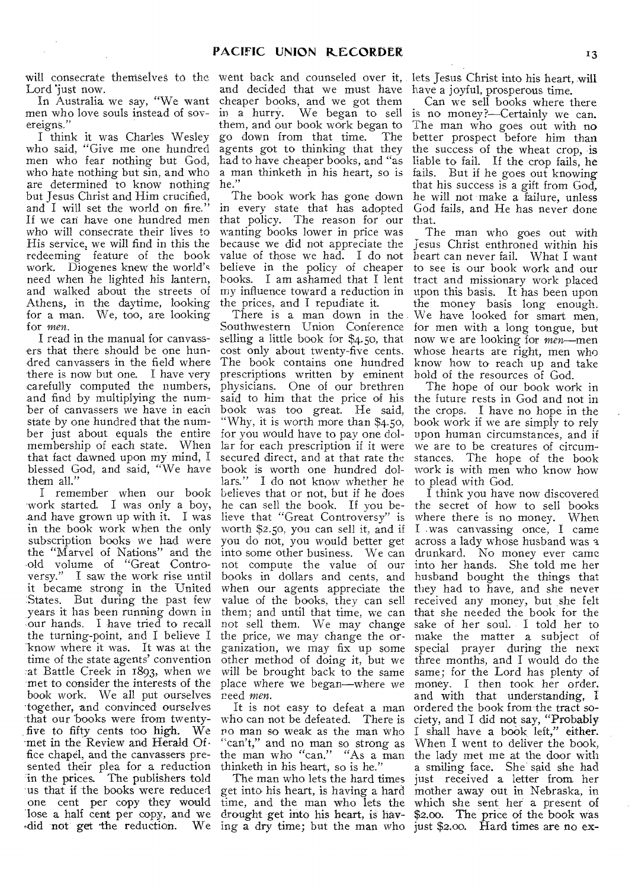will consecrate themselves to the went back and counseled over it, lets Jesus Christ into his heart, will Lord 'just now.

In Australia we say, "We want men who love souls instead of sovereigns.'

I think it was Charles Wesley who said, "Give me one hundred men who fear nothing but God, who hate nothing but sin, and who are determined to know nothing but Jesus Christ and Him crucified, and I will set the world on fire." If we can have one hundred men who will consecrate their lives to His service, we will find in this the redeeming feature of the book work. Diogenes knew the world' need when he lighted his lantern, and walked about the streets of Athens, in the daytime, looking for a man. We, too, are looking for *men.* 

I read in the manual for canvassers that there should be one hundred canvassers in the field where there is now but one. I have very carefully computed the numbers, and find by multiplying the number of canvassers we have in each state by one hundred that the number just about equals the entire membership of each state. When that fact dawned upon my mind, I blessed God, and said, "We have them all.'

work started. I was only a boy, and have grown up with it. I was in the book work when the only subscription books we had were the "Marvel of Nations" and the old volume of "Great Controversy." I saw the work rise until it became strong in the United States. But during the past few years it has been running down in our hands. I have tried to recall the turning-point, and I believe I know where it was. It was at the time of the state agents' convention at Battle Creek in 1893, when we met to consider the interests of the book work. We all put ourselves together, and convinced ourselves that our books were from twentyfive to fifty cents too high. We -met in the Review and Herald Of fice chapel, and the canvassers presented their plea for a reduction in the prices. The publishers told us that if the books were reduced one cent per copy they would lose a half cent per copy, and we did not get the reduction. We ing a dry time; but the man who just \$2.00. Hard times are no ex-

and decided that we must have cheaper books, and we got them in a hurry. We began to sell them, and our book work began to go down from that time. The agents got to thinking that they had to have cheaper books, and "as a man thinketh in his heart, so is he."

The book work has gone down in every state that has adopted that policy. The reason for our wanting books lower in price was because we did not appreciate the value of those we had. I do not believe in the policy of cheaper books. I am ashamed that I lent my influence toward a reduction in the prices, and I repudiate it.

I remember when our book believes that or not, but if he does Southwestern Union Conference selling a little book for \$4.50, that cost only about twenty-five cents. The book contains one hundred prescriptions written by eminent physicians. One of our brethren said to him that the price of his book was too great. He said, "Why, it is worth more than \$4.50, for you would have to pay one dollar for each prescription if it were secured direct, and at that rate the book is worth one hundred dollars." I do not know whether he he can sell the book. If you believe that "Great Controversy" is worth \$2.50, you can sell it, and if you do not, you would better get into some other business. We can not compute the value of our books in dollars and cents, and when our agents appreciate the value of the books, they can sell them; and until that time, we can not sell them. We may change the price, we may change the organization, we may fix up some other method of doing it, but we will be brought back to the same place where we began—where we reed *men.* 

It is not easy to defeat a man who can not be defeated. There is no man so weak as the man who "can't," and no man so strong as the man who "can." "As a man thinketh in his heart, so is he."

The man who lets the hard times get into his heart, is having a hard mother away out in Nebraska, in time, and the man who lets the which she sent her a present of drought get into his heart, is hav-

have a joyful, prosperous time.

Can we sell books where there is no money?—Certainly we can. The man who goes out with no better prospect before him than the success of the wheat crop, is liable to fail. If the crop fails, he fails. But if he goes out knowing that his success is a gift from God, he will not make a failure, unless God fails, and He has never done that.

There is a man down in the We have looked for smart men, The man who goes out with Jesus Christ enthroned within his heart can never fail. What I want to see is our book work and our tract and missionary work placed upon this basis. It has been upon the money basis long enough. for men with a long tongue, but now we are looking for men—men whose hearts are right, men who know how to reach up and take hold of the resources of God.

> The hope of our book work in the future rests in God and not in the crops. I have no hope in the book work if we are simply to rely upon human circumstances, and if we are to be creatures of circumstances. The hope of the book work is with men who know how to plead with God.

> I think you have now discovered the secret of how to sell books where there is no money. When I was canvassing once, I came across a lady whose husband was a drunkard. No money ever came into her hands. She told me her husband bought the things that they had to have, and she never received any money, but she felt that she needed the book for the sake of her soul. I told her to make the matter a subject of special prayer during the next three months, and I would do the same; for the Lord has plenty of money. I then took, her order, and with that understanding, I ordered the book from the tract society, and I did not say, "Probably I shall have a book left," either. When I went to deliver the book, the lady met me at the door with a smiling face. She said she had just received a letter from her \$2.00. The price of the book was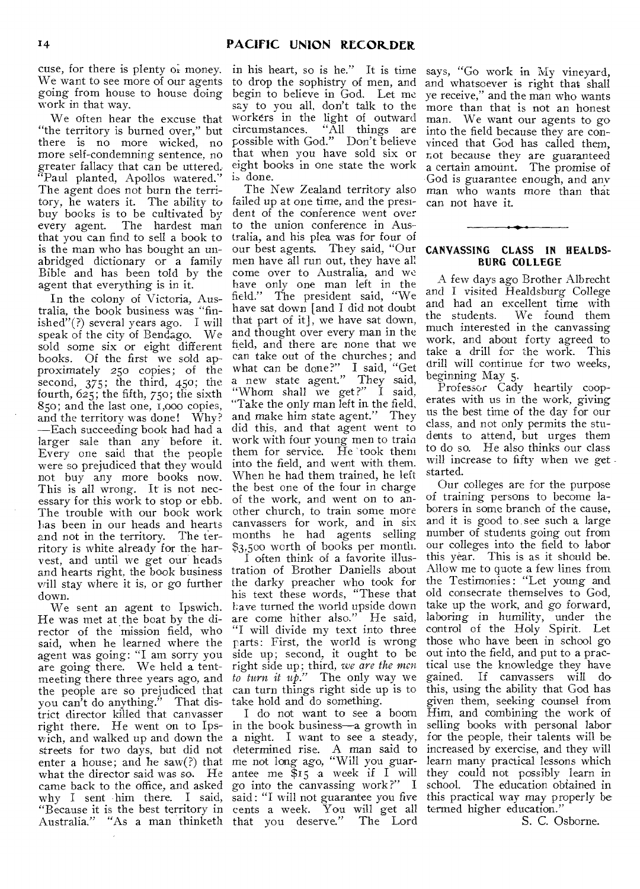cuse, for there is plenty of money. We want to see more of our agents going from house to house doing work in that way.

We often hear the excuse that "the territory is burned over," but there is no more wicked, no more self-condemning sentence, no greater fallacy that can be uttered. "Paul planted, Apollos watered." The agent does not burn the territory, he waters it. The ability to buy books is to be cultivated by every agent. The hardest man that you can find to sell a book to is the man who has bought an unabridged dictionary or a family Bible and has been told by the agent that everything is in it.

In the colony of Victoria, Australia, the book business was "finished"(?) several years ago. I will speak of the city of Bendago. We sold some six or eight different books. Of the first we sold approximately 250 copies; of the second,  $375$ ; the third,  $450$ ; the fourth, 625; the fifth, 750; the sixth 85o; and the last one, i,000 copies, and the territory was done! Why? —Each succeeding book had had a larger sale than any before it. Every one said that the people were so prejudiced that they would not buy any more books now. This is all wrong. It is not necessary for this work to stop or ebb. The trouble with our book work has been in our heads and hearts and not in the territory. The territory is white already for the harvest, and until we get our heads and hearts right, the book business tration of Brother Daniells about will stay where it is, or go further the darky preacher who took for down.

We sent an agent to Ipswich. He was met at the boat by the director of the mission field, who said, when he learned where the agent was going: "I am sorry you are going there. We held a tentmeeting there three years ago, and the people are so prejudiced that you can't do anything." That district director killed that canvasser right there. He went on to Ips-in the book business—a growth in wich, and walked up and down the a night. I want to see a steady, streets for two days, but did not enter a house; and he saw(?) that what the director said was so. He came back to the office, and asked go into the canvassing work ?" I school. The education obtained in why I sent him there. I said, said: "I will not guarantee you five this practical way may properly be "Because it is the best territory in cents a week. You will get all termed higher education."

in his heart, so is he." It is time to drop the sophistry of men, and begin to believe in God. Let me say to you all, don't talk to the workers in the light of outward circumstances. "All things are possible with God." Don't believe that when you have sold six or eight books in one state the work is done.

The New Zealand territory also failed up at one time, and the president of the conference went over to the union conference in Australia, and his plea was for four of our best agents. They said, "Our men have all run out, they have all come over to Australia, and we have only one man left in the field." The president said, "We have sat down [and I did not doubt that part of it], we have sat down, and thought over every man in the field, and there are none that we can take out of the churches; and what can be done?" I said, "Get a new state agent." They said, "Whom shall we get?" I said, "Take the only man left in the field, and make him state agent." They did this, and that agent went to work with four young men to train them for service. He took them into the field, and went with them. When he had them trained, he left the best one of the four in charge of the work, and went on to another church, to train some more canvassers for work, and in six months he had agents selling \$3,500 worth of books per month.

I often think of a favorite illushis text these words, "These that Lave turned the world upside down are come hither also." He said, "I will divide my text into three parts: First, the world is wrong side up; second, it ought to be right side up; third, *we are the men to turn it up."* The only way we can turn things right side up is to take hold and do something.

Australia." "As a man thinketh that you deserve." The Lord I do not want to see a boom determined rise. A man said to me not long ago, "Will you guarantee me  $f_1$  a week if  $I$  will they could not possibly learn in

says, "Go work in My vineyard, and whatsoever is right that shall ye receive," and the man who wants more than that is not an honest man. We want our agents to go into the field because they are convinced that God has called them, not because they are guaranteed a certain amount. The promise of God is guarantee enough, and any man who wants more than that can not have it.

## **CANVASSING CLASS IN HEALDS-BURG COLLEGE**

A few days ago Brother Albrecht and I visited Healdsburg College and had an excellent time with<br>the students. We found them We found them much interested in the canvassing work, and about forty agreed to take a drill for the work. This drill will continue for two weeks, beginning May 5.

Professor Cady heartily cooperates with us in the work, giving us the best time of the day for our class, and not only permits the students to attend, but urges them to do so. He also thinks our class will increase to fifty when we get. started.

Our colleges are for the purpose of training persons to become laborers in some branch of the cause, and it is good to see such a large number of students going out from our colleges into the field to labor this year. This is as it should be. Allow me to quote a few lines from the Testimonies: "Let young and old consecrate themselves to God, take up the work, and go forward, laboring in humility, under the control of the Holy Spirit. Let those who have been in school go out into the field, and put to a practical use the knowledge they have gained. If canvassers will do this, using the ability that God has given them, seeking counsel from Him, and combining the work of selling books with personal labor for the people, their talents will be increased by exercise, and they will learn many practical lessons which

S. C. Osborne.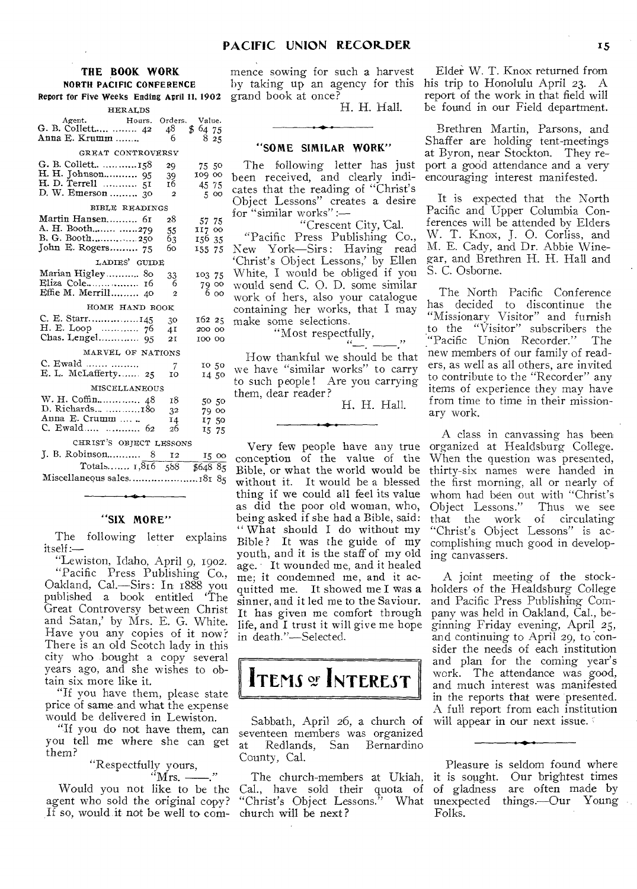#### **THE BOOK WORK**  NORTH PACIFIC CONFERENCE Report for Five Weeks Ending April 11, 19

| <b>HERALDS</b>                               |                |              |
|----------------------------------------------|----------------|--------------|
| Agent.<br>Agent. Hours.<br>G. B. Collett  42 | Orders.<br>48  | Value.<br>\$ |
| Anna E. Krumm                                | 6              | 64 75<br>825 |
|                                              |                |              |
| GREAT CONTROVERSY                            |                |              |
| G. B. Collett 158                            | 29             | 75 50        |
|                                              | 39             | 109 00       |
|                                              | 16             | 45 75        |
|                                              | $\overline{2}$ | 5 00         |
| BIBLE READINGS                               |                |              |
| Martin Hansen 61                             | 28             | 57 75        |
|                                              | 55             | 117 00       |
|                                              | 63             | 156 35       |
| John E. Rogers 75                            | 60.            | 155 75       |
| LADIES' GUIDE                                |                |              |
|                                              |                |              |
| Marian Higley 80                             | 33             | 103 75       |
| Eliza Cole 16<br>Effie M. Merrill 40         | 6              | 79 00        |
|                                              | $\overline{2}$ | 6 00         |
| HOME HAND BOOK                               |                |              |
|                                              | 30             | 162 25       |
|                                              | 4I             | 200 00       |
|                                              | 21             | 100 00       |
| MARVEL OF NATIONS                            |                |              |
| C. Ewald                                     | 7              | 10 50        |
| E. L. McLafferty 25                          | 10             | 14 50        |
| <b>MISCELLANEOUS</b>                         |                |              |
|                                              | 18             |              |
| D. Richards  180                             |                | 50 50        |
| Anna E. Crumm                                | 32             | 79 00        |
| C. Ewald  62                                 | 14<br>26       | 17 50        |
|                                              |                | 15 75        |
| CHRIST'S OBJECT LESSONS                      |                |              |
|                                              | 12             | 15 00        |
| Totals $1,816$                               | 588            | \$64885      |

Miscellaneous sales............................181 85

## **"SIX MORE"**

The following letter explains itself:-

"Lewiston, Idaho, April 9, 1902. "Pacific Press Publishing Co., Oakland, Cal.—Sirs: In 1888 you published a book entitled 'The Great Controversy between Christ and Satan,' by Mrs. E. G. White. Have you any copies of it now? There is an old Scotch lady in this city who bought a copy several years ago, and she wishes to obtain six more like it.

"If you have them, please state price of same and what the expense would be delivered in Lewiston.

"If you do not have them, can you tell me where she can get them?

> "Respectfully yours,  $"$ Mrs. — ...

Would you not like to be the agent who sold the original copy? If so, would it not be well to com-

mence sowing for such a harvest by taking up an agency for this grand book at once?

H. H. Hall.

#### **"SOME SIMILAR WORK"**

The following letter has just been received, and clearly indicates that the reading of "Christ's Object Lessons" creates a desire for "similar works" :—

work of hers, also your catalogue containing her works, that I may make some selections. "Crescent City, Cal. "Pacific Press Publishing Co., New York—Sirs: Having read `Christ's Object Lessons,' by Ellen White, I would be obliged if you would send C. O. D. some similar

"Most respectfully,

How thankful we should be that we have "similar works" to carry to such people! Are you carrying them, dear reader?

H. H. Hall.

Very few people have any true conception of the value of the Bible, or what the world would be without it. It would be a blessed thing if we could all feel its value as did the poor old woman, who, being asked if she had a Bible, said: " What should I do without my Bible? It was the guide of my youth, and it is the staff of my old age. It wounded me, and it healed me; it condemned me, and it acquitted me. It showed me I was a sinner, and it led me to the Saviour. It has given me comfort through life, and I trust it will give me hope in death."—Selected.

# **ITEMS** of **INTEREST**

Sabbath, April 26, a church of seventeen members was organized<br>at Redlands, San Bernardino Redlands, San County, Cal.

The church-members at Ukiah, Cal., have sold their quota of<br>"Christ's Object Lessons." What "Christ's Object Lessons." church will be next ?

Elder W. T. Knox returned from his trip to Honolulu April 23. A report of the work in that field will be found in our Field department.

Brethren Martin, Parsons, and Shaffer are holding tent-meetings at Byron, near Stockton. They report a good attendance and a very encouraging interest manifested.

It is expected that the North Pacific and Upper Columbia Conferences will be attended by Elders W. T. Knox, J. 0. Corliss, and M. E. Cady, and Dr. Abbie Winegar, and Brethren H. H. Hall and S. C. Osborne.

The North Pacific Conference has decided to discontinue the "Missionary Visitor" and furnish to the "Visitor" subscribers the<br>"Pacific Union Recorder." The "Pacific Union Recorder." new members of our family of readers, as well as all others, are invited to contribute to the "Recorder" any items of experience they may have from time to time in their missionary work.

A class in canvassing has been organized at Healdsburg College. When the question was presented, thirty-six names were handed in the first morning, all or nearly of whom had been out with "Christ's<br>Object Lessons." Thus we see Object Lessons." that the work of circulating "Christ's Object Lessons" is accomplishing much good in developing canvassers.

A joint meeting of the stockholders of the Healdsburg College and Pacific Press Publishing Company was held in Oakland, Cal., beginning Friday evening, April *25,*  and continuing to April 29, to consider the needs of each institution and plan for the coming year's work. The attendance was good, and much interest was manifested in the reports that were presented. A full report from each institution will appear in our next issue.

Pleasure is seldom found where it is sought. Our brightest times of gladness are often made by unexpected things.—Our Young Folks.